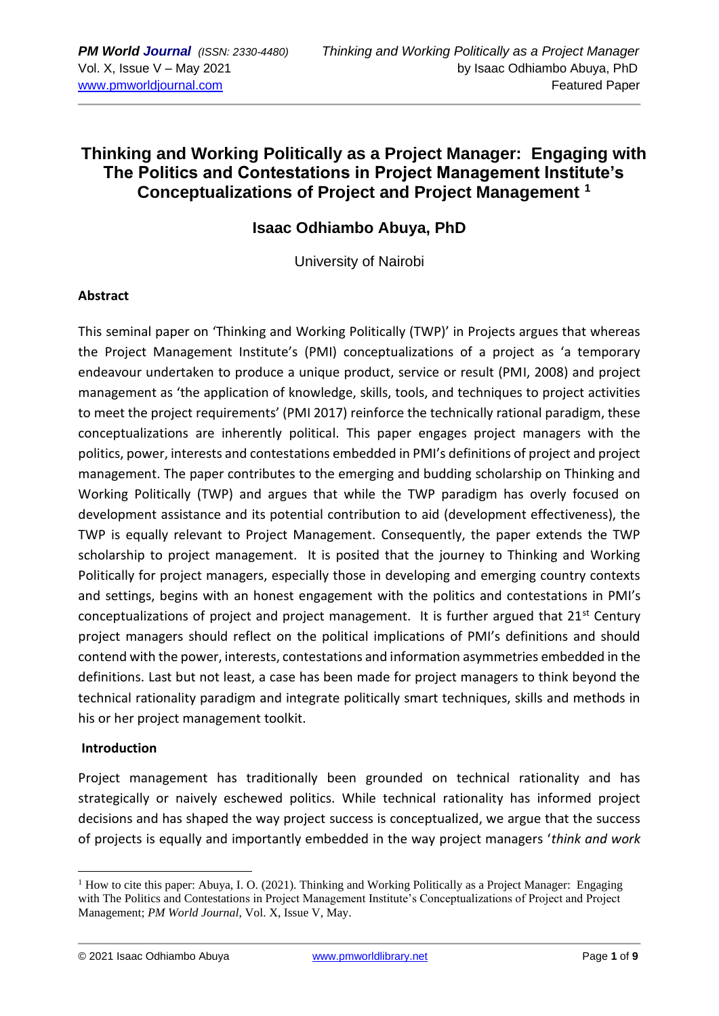## **Thinking and Working Politically as a Project Manager: Engaging with The Politics and Contestations in Project Management Institute's Conceptualizations of Project and Project Management <sup>1</sup>**

## **Isaac Odhiambo Abuya, PhD**

University of Nairobi

### **Abstract**

This seminal paper on 'Thinking and Working Politically (TWP)' in Projects argues that whereas the Project Management Institute's (PMI) conceptualizations of a project as 'a temporary endeavour undertaken to produce a unique product, service or result (PMI, 2008) and project management as 'the application of knowledge, skills, tools, and techniques to project activities to meet the project requirements' (PMI 2017) reinforce the technically rational paradigm, these conceptualizations are inherently political. This paper engages project managers with the politics, power, interests and contestations embedded in PMI's definitions of project and project management. The paper contributes to the emerging and budding scholarship on Thinking and Working Politically (TWP) and argues that while the TWP paradigm has overly focused on development assistance and its potential contribution to aid (development effectiveness), the TWP is equally relevant to Project Management. Consequently, the paper extends the TWP scholarship to project management. It is posited that the journey to Thinking and Working Politically for project managers, especially those in developing and emerging country contexts and settings, begins with an honest engagement with the politics and contestations in PMI's conceptualizations of project and project management. It is further argued that  $21^{st}$  Century project managers should reflect on the political implications of PMI's definitions and should contend with the power, interests, contestations and information asymmetries embedded in the definitions. Last but not least, a case has been made for project managers to think beyond the technical rationality paradigm and integrate politically smart techniques, skills and methods in his or her project management toolkit.

### **Introduction**

Project management has traditionally been grounded on technical rationality and has strategically or naively eschewed politics. While technical rationality has informed project decisions and has shaped the way project success is conceptualized, we argue that the success of projects is equally and importantly embedded in the way project managers '*think and work* 

© 2021 Isaac Odhiambo Abuya [www.pmworldlibrary.net](http://www.pmworldlibrary.net/) Page **1** of **9**

<sup>&</sup>lt;sup>1</sup> How to cite this paper: Abuya, I. O. (2021). Thinking and Working Politically as a Project Manager: Engaging with The Politics and Contestations in Project Management Institute's Conceptualizations of Project and Project Management; *PM World Journal*, Vol. X, Issue V, May.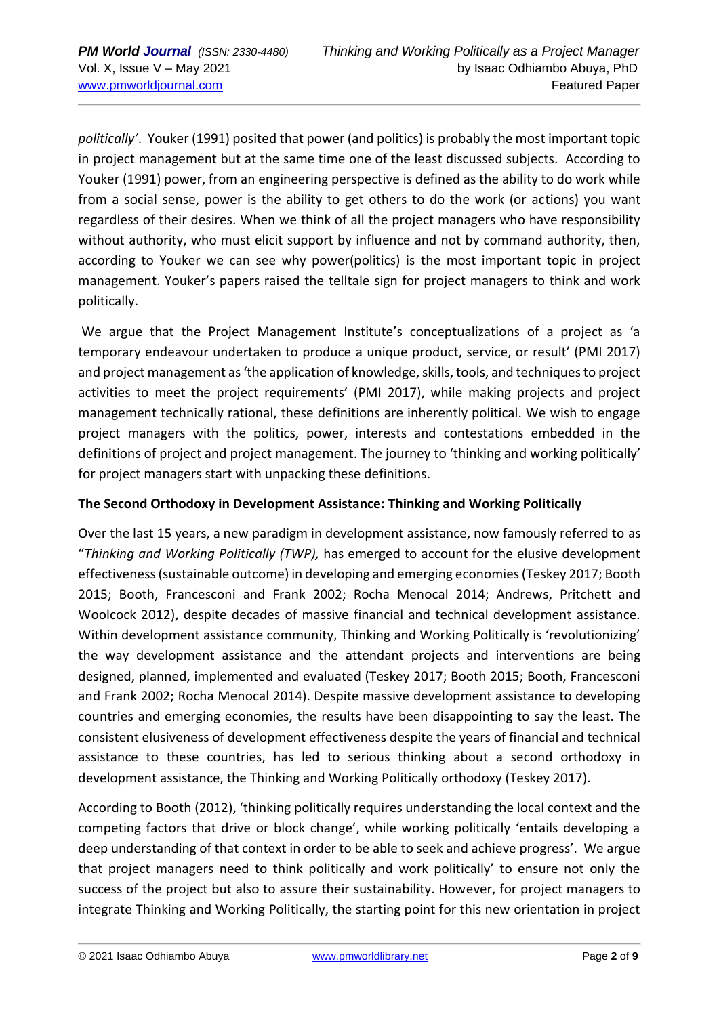*politically'*. Youker (1991) posited that power (and politics) is probably the most important topic in project management but at the same time one of the least discussed subjects. According to Youker (1991) power, from an engineering perspective is defined as the ability to do work while from a social sense, power is the ability to get others to do the work (or actions) you want regardless of their desires. When we think of all the project managers who have responsibility without authority, who must elicit support by influence and not by command authority, then, according to Youker we can see why power(politics) is the most important topic in project management. Youker's papers raised the telltale sign for project managers to think and work politically.

We argue that the Project Management Institute's conceptualizations of a project as 'a temporary endeavour undertaken to produce a unique product, service, or result' (PMI 2017) and project management as 'the application of knowledge, skills, tools, and techniques to project activities to meet the project requirements' (PMI 2017), while making projects and project management technically rational, these definitions are inherently political. We wish to engage project managers with the politics, power, interests and contestations embedded in the definitions of project and project management. The journey to 'thinking and working politically' for project managers start with unpacking these definitions.

## **The Second Orthodoxy in Development Assistance: Thinking and Working Politically**

Over the last 15 years, a new paradigm in development assistance, now famously referred to as "*Thinking and Working Politically (TWP),* has emerged to account for the elusive development effectiveness (sustainable outcome) in developing and emerging economies (Teskey 2017; Booth 2015; Booth, Francesconi and Frank 2002; Rocha Menocal 2014; Andrews, Pritchett and Woolcock 2012), despite decades of massive financial and technical development assistance. Within development assistance community, Thinking and Working Politically is 'revolutionizing' the way development assistance and the attendant projects and interventions are being designed, planned, implemented and evaluated (Teskey 2017; Booth 2015; Booth, Francesconi and Frank 2002; Rocha Menocal 2014). Despite massive development assistance to developing countries and emerging economies, the results have been disappointing to say the least. The consistent elusiveness of development effectiveness despite the years of financial and technical assistance to these countries, has led to serious thinking about a second orthodoxy in development assistance, the Thinking and Working Politically orthodoxy (Teskey 2017).

According to Booth (2012), 'thinking politically requires understanding the local context and the competing factors that drive or block change', while working politically 'entails developing a deep understanding of that context in order to be able to seek and achieve progress'. We argue that project managers need to think politically and work politically' to ensure not only the success of the project but also to assure their sustainability. However, for project managers to integrate Thinking and Working Politically, the starting point for this new orientation in project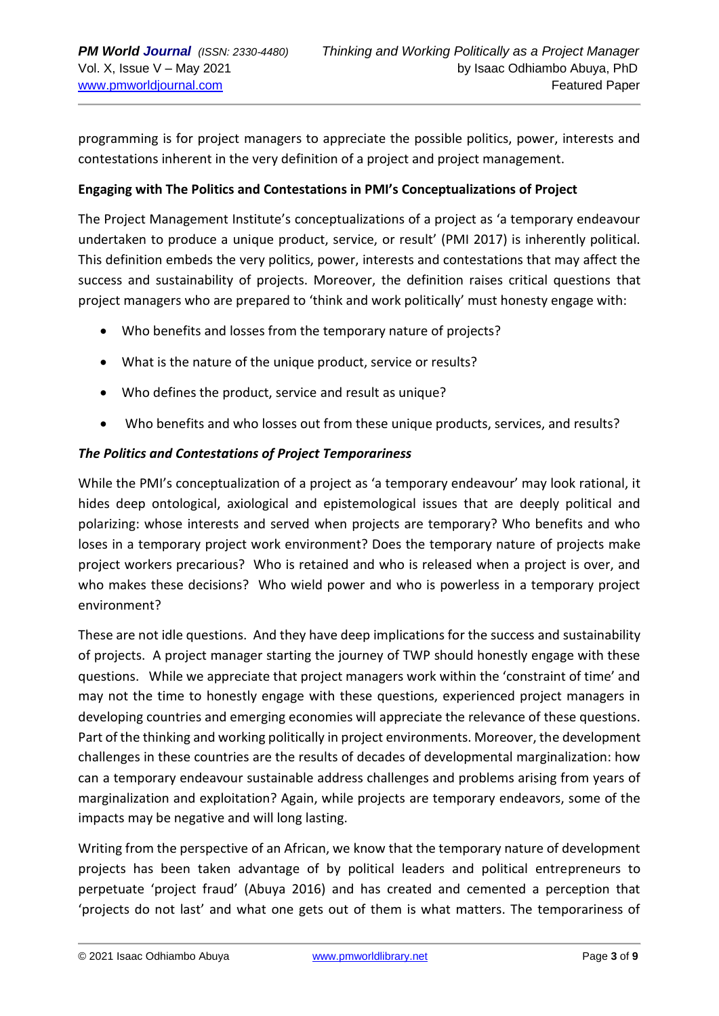programming is for project managers to appreciate the possible politics, power, interests and contestations inherent in the very definition of a project and project management.

## **Engaging with The Politics and Contestations in PMI's Conceptualizations of Project**

The Project Management Institute's conceptualizations of a project as 'a temporary endeavour undertaken to produce a unique product, service, or result' (PMI 2017) is inherently political. This definition embeds the very politics, power, interests and contestations that may affect the success and sustainability of projects. Moreover, the definition raises critical questions that project managers who are prepared to 'think and work politically' must honesty engage with:

- Who benefits and losses from the temporary nature of projects?
- What is the nature of the unique product, service or results?
- Who defines the product, service and result as unique?
- Who benefits and who losses out from these unique products, services, and results?

## *The Politics and Contestations of Project Temporariness*

While the PMI's conceptualization of a project as 'a temporary endeavour' may look rational, it hides deep ontological, axiological and epistemological issues that are deeply political and polarizing: whose interests and served when projects are temporary? Who benefits and who loses in a temporary project work environment? Does the temporary nature of projects make project workers precarious? Who is retained and who is released when a project is over, and who makes these decisions? Who wield power and who is powerless in a temporary project environment?

These are not idle questions. And they have deep implications for the success and sustainability of projects. A project manager starting the journey of TWP should honestly engage with these questions. While we appreciate that project managers work within the 'constraint of time' and may not the time to honestly engage with these questions, experienced project managers in developing countries and emerging economies will appreciate the relevance of these questions. Part of the thinking and working politically in project environments. Moreover, the development challenges in these countries are the results of decades of developmental marginalization: how can a temporary endeavour sustainable address challenges and problems arising from years of marginalization and exploitation? Again, while projects are temporary endeavors, some of the impacts may be negative and will long lasting.

Writing from the perspective of an African, we know that the temporary nature of development projects has been taken advantage of by political leaders and political entrepreneurs to perpetuate 'project fraud' (Abuya 2016) and has created and cemented a perception that 'projects do not last' and what one gets out of them is what matters. The temporariness of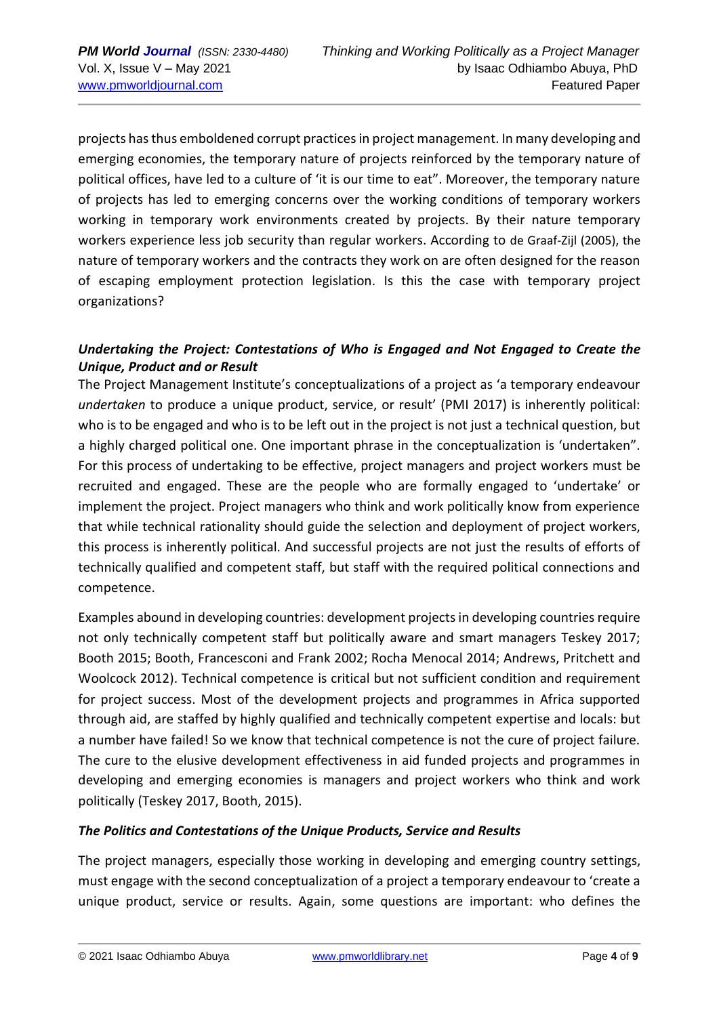projects has thus emboldened corrupt practices in project management. In many developing and emerging economies, the temporary nature of projects reinforced by the temporary nature of political offices, have led to a culture of 'it is our time to eat". Moreover, the temporary nature of projects has led to emerging concerns over the working conditions of temporary workers working in temporary work environments created by projects. By their nature temporary workers experience less job security than regular workers. According to de Graaf-Zijl (2005), the nature of temporary workers and the contracts they work on are often designed for the reason of escaping employment protection legislation. Is this the case with temporary project organizations?

## *Undertaking the Project: Contestations of Who is Engaged and Not Engaged to Create the Unique, Product and or Result*

The Project Management Institute's conceptualizations of a project as 'a temporary endeavour *undertaken* to produce a unique product, service, or result' (PMI 2017) is inherently political: who is to be engaged and who is to be left out in the project is not just a technical question, but a highly charged political one. One important phrase in the conceptualization is 'undertaken". For this process of undertaking to be effective, project managers and project workers must be recruited and engaged. These are the people who are formally engaged to 'undertake' or implement the project. Project managers who think and work politically know from experience that while technical rationality should guide the selection and deployment of project workers, this process is inherently political. And successful projects are not just the results of efforts of technically qualified and competent staff, but staff with the required political connections and competence.

Examples abound in developing countries: development projects in developing countries require not only technically competent staff but politically aware and smart managers Teskey 2017; Booth 2015; Booth, Francesconi and Frank 2002; Rocha Menocal 2014; Andrews, Pritchett and Woolcock 2012). Technical competence is critical but not sufficient condition and requirement for project success. Most of the development projects and programmes in Africa supported through aid, are staffed by highly qualified and technically competent expertise and locals: but a number have failed! So we know that technical competence is not the cure of project failure. The cure to the elusive development effectiveness in aid funded projects and programmes in developing and emerging economies is managers and project workers who think and work politically (Teskey 2017, Booth, 2015).

### *The Politics and Contestations of the Unique Products, Service and Results*

The project managers, especially those working in developing and emerging country settings, must engage with the second conceptualization of a project a temporary endeavour to 'create a unique product, service or results. Again, some questions are important: who defines the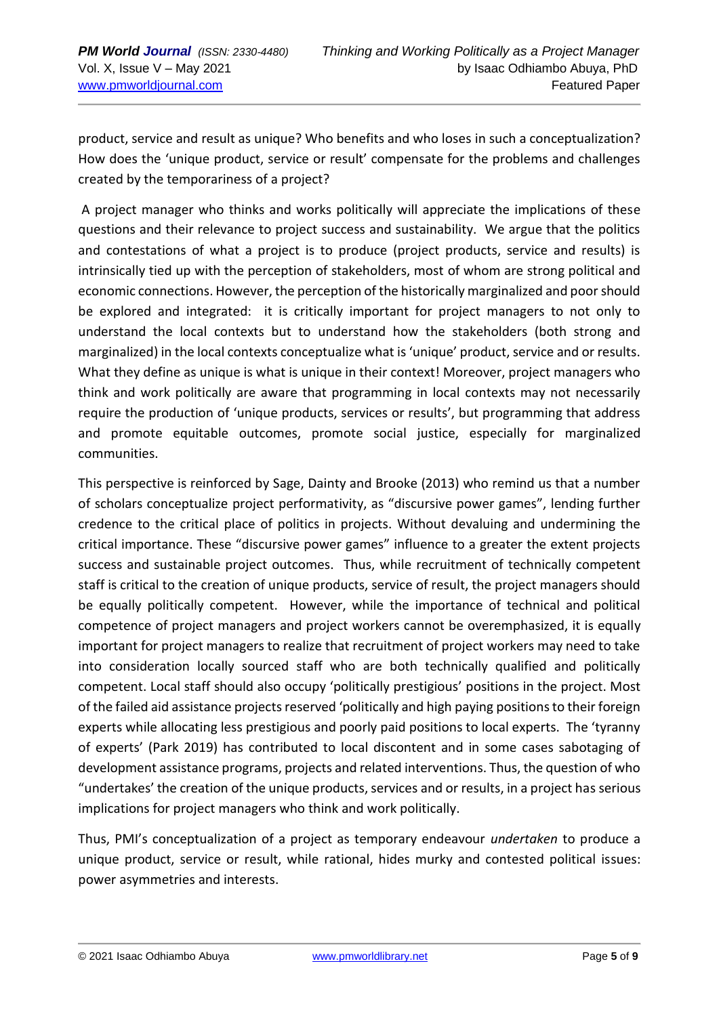product, service and result as unique? Who benefits and who loses in such a conceptualization? How does the 'unique product, service or result' compensate for the problems and challenges created by the temporariness of a project?

A project manager who thinks and works politically will appreciate the implications of these questions and their relevance to project success and sustainability. We argue that the politics and contestations of what a project is to produce (project products, service and results) is intrinsically tied up with the perception of stakeholders, most of whom are strong political and economic connections. However, the perception of the historically marginalized and poor should be explored and integrated: it is critically important for project managers to not only to understand the local contexts but to understand how the stakeholders (both strong and marginalized) in the local contexts conceptualize what is 'unique' product, service and or results. What they define as unique is what is unique in their context! Moreover, project managers who think and work politically are aware that programming in local contexts may not necessarily require the production of 'unique products, services or results', but programming that address and promote equitable outcomes, promote social justice, especially for marginalized communities.

This perspective is reinforced by Sage, Dainty and Brooke (2013) who remind us that a number of scholars conceptualize project performativity, as "discursive power games", lending further credence to the critical place of politics in projects. Without devaluing and undermining the critical importance. These "discursive power games" influence to a greater the extent projects success and sustainable project outcomes. Thus, while recruitment of technically competent staff is critical to the creation of unique products, service of result, the project managers should be equally politically competent. However, while the importance of technical and political competence of project managers and project workers cannot be overemphasized, it is equally important for project managers to realize that recruitment of project workers may need to take into consideration locally sourced staff who are both technically qualified and politically competent. Local staff should also occupy 'politically prestigious' positions in the project. Most of the failed aid assistance projects reserved 'politically and high paying positions to their foreign experts while allocating less prestigious and poorly paid positions to local experts. The 'tyranny of experts' (Park 2019) has contributed to local discontent and in some cases sabotaging of development assistance programs, projects and related interventions. Thus, the question of who "undertakes' the creation of the unique products, services and or results, in a project has serious implications for project managers who think and work politically.

Thus, PMI's conceptualization of a project as temporary endeavour *undertaken* to produce a unique product, service or result, while rational, hides murky and contested political issues: power asymmetries and interests.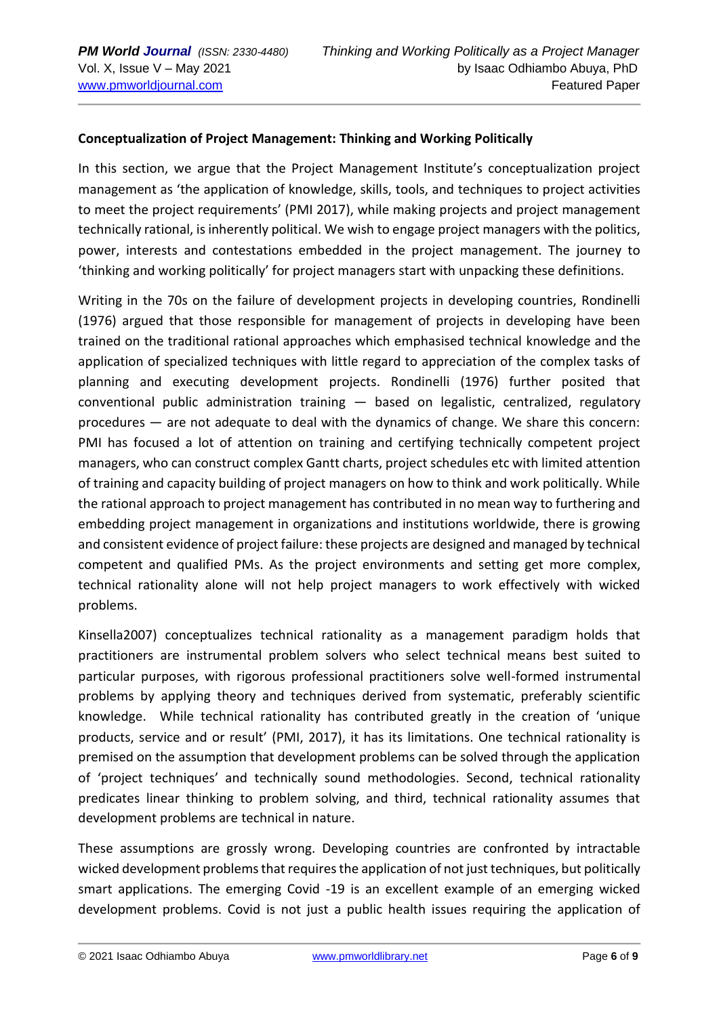## **Conceptualization of Project Management: Thinking and Working Politically**

In this section, we argue that the Project Management Institute's conceptualization project management as 'the application of knowledge, skills, tools, and techniques to project activities to meet the project requirements' (PMI 2017), while making projects and project management technically rational, is inherently political. We wish to engage project managers with the politics, power, interests and contestations embedded in the project management. The journey to 'thinking and working politically' for project managers start with unpacking these definitions.

Writing in the 70s on the failure of development projects in developing countries, Rondinelli (1976) argued that those responsible for management of projects in developing have been trained on the traditional rational approaches which emphasised technical knowledge and the application of specialized techniques with little regard to appreciation of the complex tasks of planning and executing development projects. Rondinelli (1976) further posited that conventional public administration training — based on legalistic, centralized, regulatory procedures — are not adequate to deal with the dynamics of change. We share this concern: PMI has focused a lot of attention on training and certifying technically competent project managers, who can construct complex Gantt charts, project schedules etc with limited attention of training and capacity building of project managers on how to think and work politically. While the rational approach to project management has contributed in no mean way to furthering and embedding project management in organizations and institutions worldwide, there is growing and consistent evidence of project failure: these projects are designed and managed by technical competent and qualified PMs. As the project environments and setting get more complex, technical rationality alone will not help project managers to work effectively with wicked problems.

Kinsella2007) conceptualizes technical rationality as a management paradigm holds that practitioners are instrumental problem solvers who select technical means best suited to particular purposes, with rigorous professional practitioners solve well-formed instrumental problems by applying theory and techniques derived from systematic, preferably scientific knowledge. While technical rationality has contributed greatly in the creation of 'unique products, service and or result' (PMI, 2017), it has its limitations. One technical rationality is premised on the assumption that development problems can be solved through the application of 'project techniques' and technically sound methodologies. Second, technical rationality predicates linear thinking to problem solving, and third, technical rationality assumes that development problems are technical in nature.

These assumptions are grossly wrong. Developing countries are confronted by intractable wicked development problems that requires the application of not just techniques, but politically smart applications. The emerging Covid -19 is an excellent example of an emerging wicked development problems. Covid is not just a public health issues requiring the application of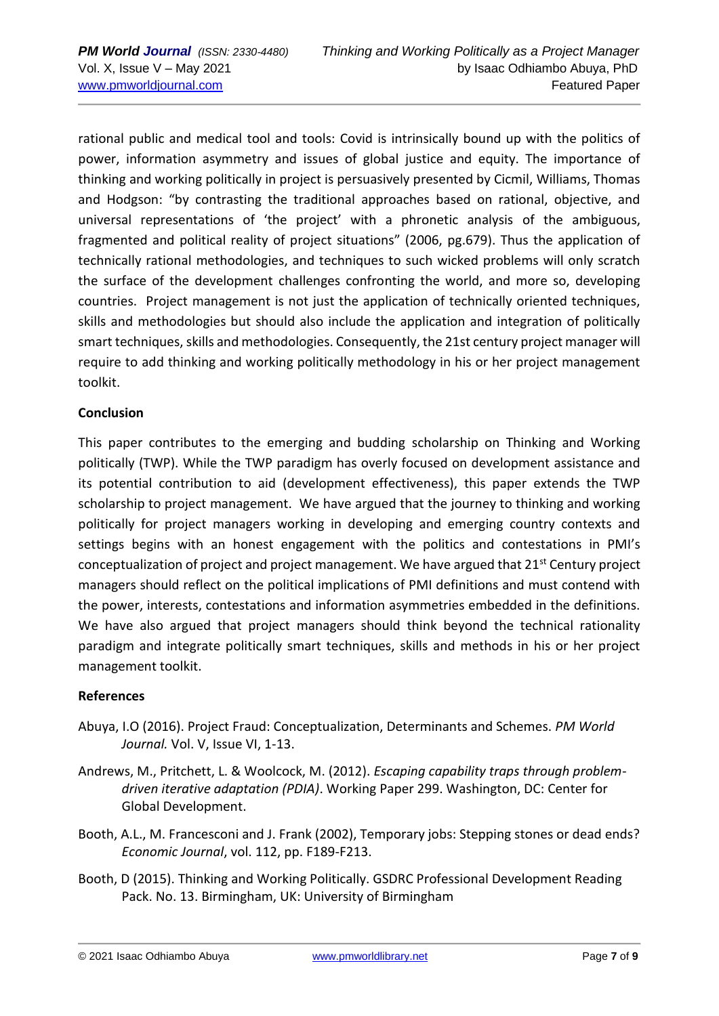rational public and medical tool and tools: Covid is intrinsically bound up with the politics of power, information asymmetry and issues of global justice and equity. The importance of thinking and working politically in project is persuasively presented by Cicmil, Williams, Thomas and Hodgson: "by contrasting the traditional approaches based on rational, objective, and universal representations of 'the project' with a phronetic analysis of the ambiguous, fragmented and political reality of project situations" (2006, pg.679). Thus the application of technically rational methodologies, and techniques to such wicked problems will only scratch the surface of the development challenges confronting the world, and more so, developing countries. Project management is not just the application of technically oriented techniques, skills and methodologies but should also include the application and integration of politically smart techniques, skills and methodologies. Consequently, the 21st century project manager will require to add thinking and working politically methodology in his or her project management toolkit.

### **Conclusion**

This paper contributes to the emerging and budding scholarship on Thinking and Working politically (TWP). While the TWP paradigm has overly focused on development assistance and its potential contribution to aid (development effectiveness), this paper extends the TWP scholarship to project management. We have argued that the journey to thinking and working politically for project managers working in developing and emerging country contexts and settings begins with an honest engagement with the politics and contestations in PMI's conceptualization of project and project management. We have argued that 21<sup>st</sup> Century project managers should reflect on the political implications of PMI definitions and must contend with the power, interests, contestations and information asymmetries embedded in the definitions. We have also argued that project managers should think beyond the technical rationality paradigm and integrate politically smart techniques, skills and methods in his or her project management toolkit.

### **References**

- Abuya, I.O (2016). Project Fraud: Conceptualization, Determinants and Schemes. *PM World Journal.* Vol. V, Issue VI, 1-13.
- Andrews, M., Pritchett, L. & Woolcock, M. (2012). *Escaping capability traps through problemdriven iterative adaptation (PDIA)*. Working Paper 299. Washington, DC: Center for Global Development.
- Booth, A.L., M. Francesconi and J. Frank (2002), Temporary jobs: Stepping stones or dead ends? *Economic Journal*, vol. 112, pp. F189-F213.
- Booth, D (2015). Thinking and Working Politically. GSDRC Professional Development Reading Pack. No. 13. Birmingham, UK: University of Birmingham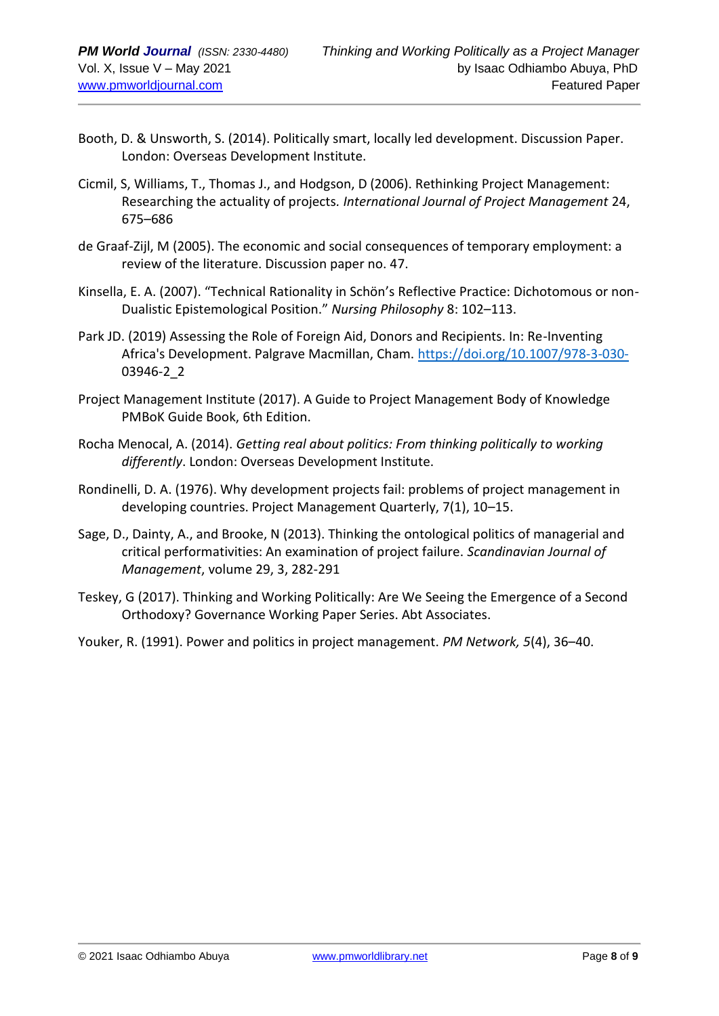- Booth, D. & Unsworth, S. (2014). Politically smart, locally led development. Discussion Paper. London: Overseas Development Institute.
- Cicmil, S, Williams, T., Thomas J., and Hodgson, D (2006). Rethinking Project Management: Researching the actuality of projects*. International Journal of Project Management* 24, 675–686
- de Graaf-Zijl, M (2005). The economic and social consequences of temporary employment: a review of the literature. Discussion paper no. 47.
- Kinsella, E. A. (2007). "Technical Rationality in Schön's Reflective Practice: Dichotomous or non-Dualistic Epistemological Position." *Nursing Philosophy* 8: 102–113.
- Park JD. (2019) Assessing the Role of Foreign Aid, Donors and Recipients. In: Re-Inventing Africa's Development. Palgrave Macmillan, Cham.<https://doi.org/10.1007/978-3-030-> 03946-2\_2
- Project Management Institute (2017). A Guide to Project Management Body of Knowledge PMBoK Guide Book, 6th Edition.
- Rocha Menocal, A. (2014). *Getting real about politics: From thinking politically to working differently*. London: Overseas Development Institute.
- Rondinelli, D. A. (1976). Why development projects fail: problems of project management in developing countries. Project Management Quarterly, 7(1), 10–15.
- Sage, D., Dainty, A., and Brooke, N (2013). Thinking the ontological politics of managerial and critical performativities: An examination of project failure. *Scandinavian Journal of Management*, volume 29, 3, 282-291
- Teskey, G (2017). Thinking and Working Politically: Are We Seeing the Emergence of a Second Orthodoxy? Governance Working Paper Series. Abt Associates.
- Youker, R. (1991). Power and politics in project management. *PM Network, 5*(4), 36–40.